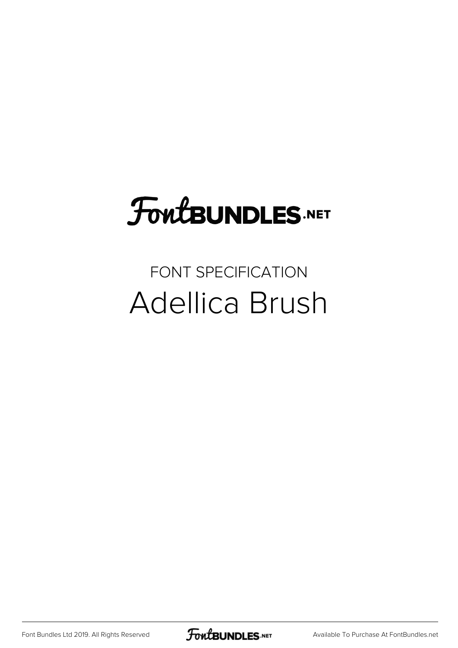### **FoutBUNDLES.NET**

#### FONT SPECIFICATION Adellica Brush

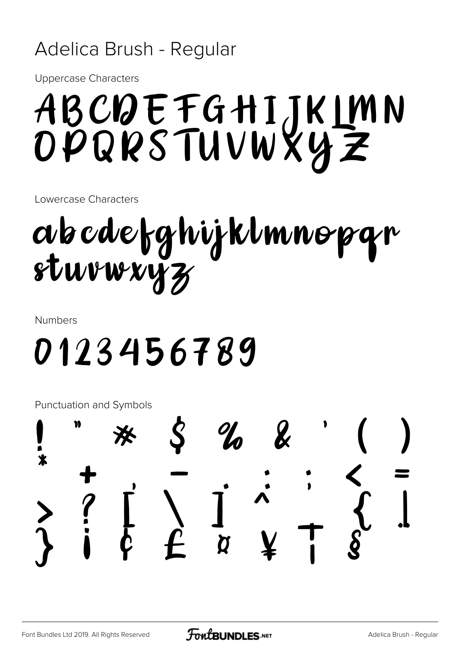#### Adelica Brush - Regular

**Uppercase Characters** 

## ABCDEFGHIJKIMN<br>OPQRSTUVWXYZ

Lowercase Characters

# abcdefghijklmnopgr<br>sturwxyz

**Numbers** 

### 0123456789

Punctuation and Symbols

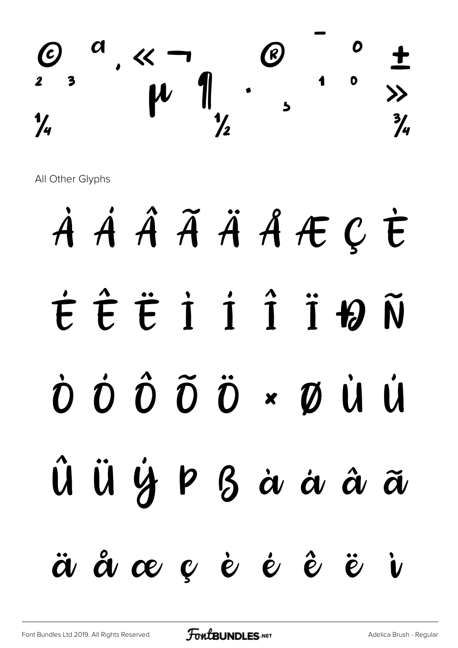

All Other Glyphs

## À Á Â Ã Ä Å Æ Ç È É Ê Ë Ì Í Î Ï Ð Ñ Ò Ó Ô Õ Ö × Ø Ù Ú Û Ü Ý Þ ß à á â ã ä å æ ç è é ê ë ì